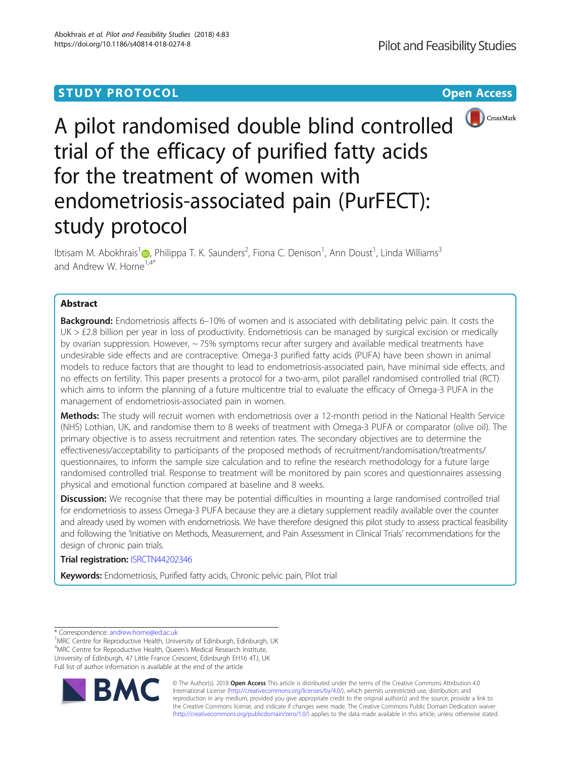# **STUDY PROTOCOL CONSUMING THE CONSUMING OPEN ACCESS**



# A pilot randomised double blind controlled trial of the efficacy of purified fatty acids for the treatment of women with endometriosis-associated pain (PurFECT): study protocol

Ibtisam M. Abokhrais<sup>1</sup> (D., Philippa T. K. Saunders<sup>2</sup>, Fiona C. Denison<sup>1</sup>, Ann Doust<sup>1</sup>, Linda Williams<sup>3</sup> and Andrew W. Horne<sup>1,4\*</sup>

## Abstract

**Background:** Endometriosis affects 6–10% of women and is associated with debilitating pelvic pain. It costs the UK > £2.8 billion per year in loss of productivity. Endometriosis can be managed by surgical excision or medically by ovarian suppression. However, ~ 75% symptoms recur after surgery and available medical treatments have undesirable side effects and are contraceptive. Omega-3 purified fatty acids (PUFA) have been shown in animal models to reduce factors that are thought to lead to endometriosis-associated pain, have minimal side effects, and no effects on fertility. This paper presents a protocol for a two-arm, pilot parallel randomised controlled trial (RCT) which aims to inform the planning of a future multicentre trial to evaluate the efficacy of Omega-3 PUFA in the management of endometriosis-associated pain in women.

Methods: The study will recruit women with endometriosis over a 12-month period in the National Health Service (NHS) Lothian, UK, and randomise them to 8 weeks of treatment with Omega-3 PUFA or comparator (olive oil). The primary objective is to assess recruitment and retention rates. The secondary objectives are to determine the effectiveness/acceptability to participants of the proposed methods of recruitment/randomisation/treatments/ questionnaires, to inform the sample size calculation and to refine the research methodology for a future large randomised controlled trial. Response to treatment will be monitored by pain scores and questionnaires assessing physical and emotional function compared at baseline and 8 weeks.

**Discussion:** We recognise that there may be potential difficulties in mounting a large randomised controlled trial for endometriosis to assess Omega-3 PUFA because they are a dietary supplement readily available over the counter and already used by women with endometriosis. We have therefore designed this pilot study to assess practical feasibility and following the 'Initiative on Methods, Measurement, and Pain Assessment in Clinical Trials' recommendations for the design of chronic pain trials.

## Trial registration: [ISRCTN44202346](https://doi.org/10.1186/ISRCTN44202346)

Keywords: Endometriosis, Purified fatty acids, Chronic pelvic pain, Pilot trial

<sup>&</sup>lt;sup>1</sup>MRC Centre for Reproductive Health, University of Edinburgh, Edinburgh, UK 4 MRC Centre for Reproductive Health, Queen's Medical Research Institute, University of Edinburgh, 47 Little France Crescent, Edinburgh EH16 4TJ, UK Full list of author information is available at the end of the article



© The Author(s). 2018 Open Access This article is distributed under the terms of the Creative Commons Attribution 4.0 International License [\(http://creativecommons.org/licenses/by/4.0/](http://creativecommons.org/licenses/by/4.0/)), which permits unrestricted use, distribution, and reproduction in any medium, provided you give appropriate credit to the original author(s) and the source, provide a link to the Creative Commons license, and indicate if changes were made. The Creative Commons Public Domain Dedication waiver [\(http://creativecommons.org/publicdomain/zero/1.0/](http://creativecommons.org/publicdomain/zero/1.0/)) applies to the data made available in this article, unless otherwise stated.

<sup>\*</sup> Correspondence: [andrew.horne@ed.ac.uk](mailto:andrew.horne@ed.ac.uk) <sup>1</sup>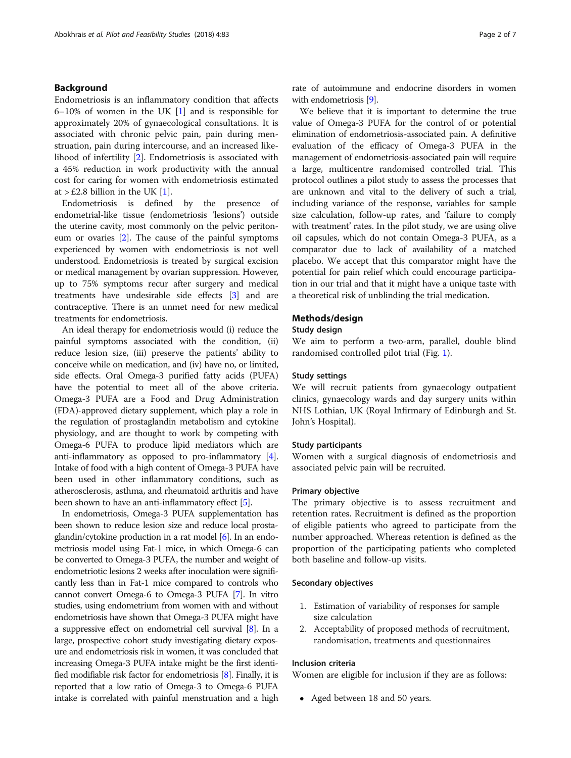## Background

Endometriosis is an inflammatory condition that affects 6–10% of women in the UK [[1\]](#page-5-0) and is responsible for approximately 20% of gynaecological consultations. It is associated with chronic pelvic pain, pain during menstruation, pain during intercourse, and an increased likelihood of infertility [[2\]](#page-5-0). Endometriosis is associated with a 45% reduction in work productivity with the annual cost for caring for women with endometriosis estimated at  $>$  £2.8 billion in the UK [[1\]](#page-5-0).

Endometriosis is defined by the presence of endometrial-like tissue (endometriosis 'lesions') outside the uterine cavity, most commonly on the pelvic peritoneum or ovaries [\[2\]](#page-5-0). The cause of the painful symptoms experienced by women with endometriosis is not well understood. Endometriosis is treated by surgical excision or medical management by ovarian suppression. However, up to 75% symptoms recur after surgery and medical treatments have undesirable side effects [\[3\]](#page-5-0) and are contraceptive. There is an unmet need for new medical treatments for endometriosis.

An ideal therapy for endometriosis would (i) reduce the painful symptoms associated with the condition, (ii) reduce lesion size, (iii) preserve the patients' ability to conceive while on medication, and (iv) have no, or limited, side effects. Oral Omega-3 purified fatty acids (PUFA) have the potential to meet all of the above criteria. Omega-3 PUFA are a Food and Drug Administration (FDA)-approved dietary supplement, which play a role in the regulation of prostaglandin metabolism and cytokine physiology, and are thought to work by competing with Omega-6 PUFA to produce lipid mediators which are anti-inflammatory as opposed to pro-inflammatory [[4](#page-5-0)]. Intake of food with a high content of Omega-3 PUFA have been used in other inflammatory conditions, such as atherosclerosis, asthma, and rheumatoid arthritis and have been shown to have an anti-inflammatory effect [\[5](#page-5-0)].

In endometriosis, Omega-3 PUFA supplementation has been shown to reduce lesion size and reduce local prostaglandin/cytokine production in a rat model [\[6\]](#page-5-0). In an endometriosis model using Fat-1 mice, in which Omega-6 can be converted to Omega-3 PUFA, the number and weight of endometriotic lesions 2 weeks after inoculation were significantly less than in Fat-1 mice compared to controls who cannot convert Omega-6 to Omega-3 PUFA [[7\]](#page-6-0). In vitro studies, using endometrium from women with and without endometriosis have shown that Omega-3 PUFA might have a suppressive effect on endometrial cell survival [[8](#page-6-0)]. In a large, prospective cohort study investigating dietary exposure and endometriosis risk in women, it was concluded that increasing Omega-3 PUFA intake might be the first identified modifiable risk factor for endometriosis [[8](#page-6-0)]. Finally, it is reported that a low ratio of Omega-3 to Omega-6 PUFA intake is correlated with painful menstruation and a high

rate of autoimmune and endocrine disorders in women with endometriosis [\[9\]](#page-6-0).

We believe that it is important to determine the true value of Omega-3 PUFA for the control of or potential elimination of endometriosis-associated pain. A definitive evaluation of the efficacy of Omega-3 PUFA in the management of endometriosis-associated pain will require a large, multicentre randomised controlled trial. This protocol outlines a pilot study to assess the processes that are unknown and vital to the delivery of such a trial, including variance of the response, variables for sample size calculation, follow-up rates, and 'failure to comply with treatment' rates. In the pilot study, we are using olive oil capsules, which do not contain Omega-3 PUFA, as a comparator due to lack of availability of a matched placebo. We accept that this comparator might have the potential for pain relief which could encourage participation in our trial and that it might have a unique taste with a theoretical risk of unblinding the trial medication.

## Methods/design

#### Study design

We aim to perform a two-arm, parallel, double blind randomised controlled pilot trial (Fig. [1\)](#page-2-0).

#### Study settings

We will recruit patients from gynaecology outpatient clinics, gynaecology wards and day surgery units within NHS Lothian, UK (Royal Infirmary of Edinburgh and St. John's Hospital).

#### Study participants

Women with a surgical diagnosis of endometriosis and associated pelvic pain will be recruited.

## Primary objective

The primary objective is to assess recruitment and retention rates. Recruitment is defined as the proportion of eligible patients who agreed to participate from the number approached. Whereas retention is defined as the proportion of the participating patients who completed both baseline and follow-up visits.

#### Secondary objectives

- 1. Estimation of variability of responses for sample size calculation
- 2. Acceptability of proposed methods of recruitment, randomisation, treatments and questionnaires

#### Inclusion criteria

Women are eligible for inclusion if they are as follows:

• Aged between 18 and 50 years.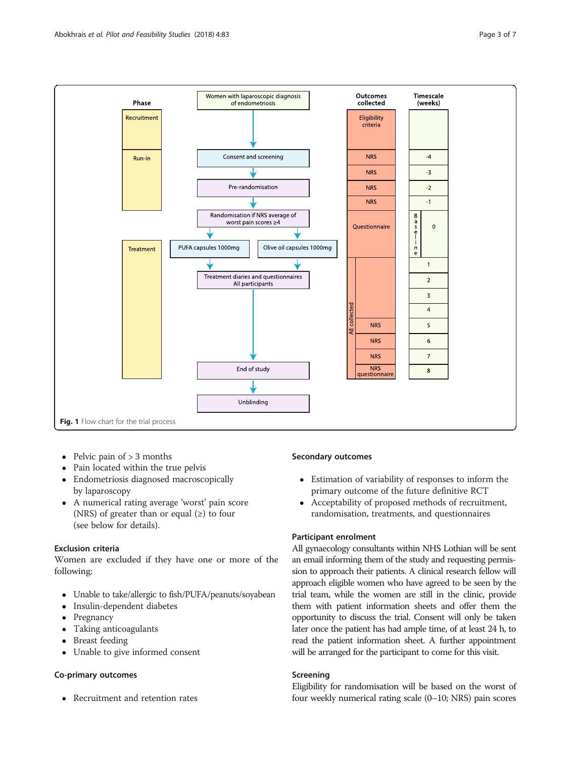<span id="page-2-0"></span>

- Pelvic pain of  $> 3$  months
- Pain located within the true pelvis
- Endometriosis diagnosed macroscopically by laparoscopy
- A numerical rating average 'worst' pain score (NRS) of greater than or equal  $(\ge)$  to four (see below for details).

## Exclusion criteria

Women are excluded if they have one or more of the following:

- Unable to take/allergic to fish/PUFA/peanuts/soyabean
- Insulin-dependent diabetes
- Pregnancy
- Taking anticoagulants
- Breast feeding
- Unable to give informed consent

## Co-primary outcomes

Recruitment and retention rates

## Secondary outcomes

- Estimation of variability of responses to inform the primary outcome of the future definitive RCT
- Acceptability of proposed methods of recruitment, randomisation, treatments, and questionnaires

## Participant enrolment

All gynaecology consultants within NHS Lothian will be sent an email informing them of the study and requesting permission to approach their patients. A clinical research fellow will approach eligible women who have agreed to be seen by the trial team, while the women are still in the clinic, provide them with patient information sheets and offer them the opportunity to discuss the trial. Consent will only be taken later once the patient has had ample time, of at least 24 h, to read the patient information sheet. A further appointment will be arranged for the participant to come for this visit.

## Screening

Eligibility for randomisation will be based on the worst of four weekly numerical rating scale (0–10; NRS) pain scores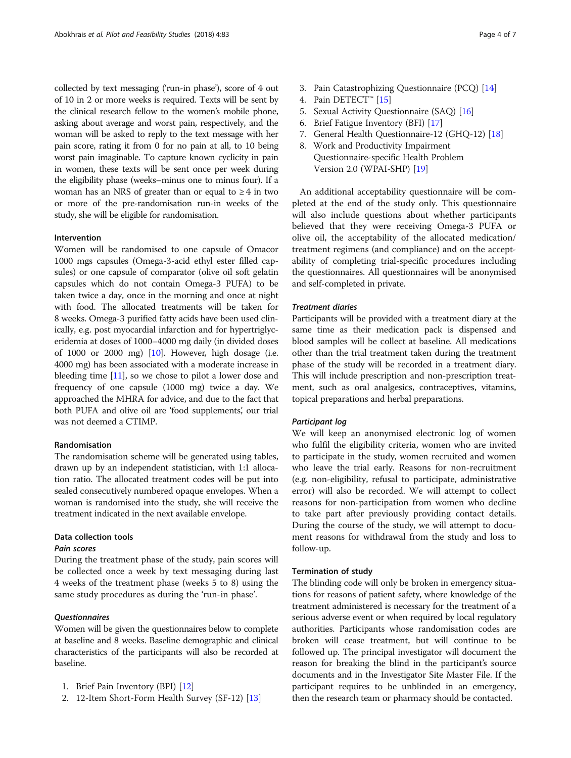collected by text messaging ('run-in phase'), score of 4 out of 10 in 2 or more weeks is required. Texts will be sent by the clinical research fellow to the women's mobile phone, asking about average and worst pain, respectively, and the woman will be asked to reply to the text message with her pain score, rating it from 0 for no pain at all, to 10 being worst pain imaginable. To capture known cyclicity in pain in women, these texts will be sent once per week during the eligibility phase (weeks–minus one to minus four). If a woman has an NRS of greater than or equal to  $\geq 4$  in two or more of the pre-randomisation run-in weeks of the study, she will be eligible for randomisation.

#### Intervention

Women will be randomised to one capsule of Omacor 1000 mgs capsules (Omega-3-acid ethyl ester filled capsules) or one capsule of comparator (olive oil soft gelatin capsules which do not contain Omega-3 PUFA) to be taken twice a day, once in the morning and once at night with food. The allocated treatments will be taken for 8 weeks. Omega-3 purified fatty acids have been used clinically, e.g. post myocardial infarction and for hypertriglyceridemia at doses of 1000–4000 mg daily (in divided doses of 1000 or 2000 mg) [[10\]](#page-6-0). However, high dosage (i.e. 4000 mg) has been associated with a moderate increase in bleeding time  $[11]$ , so we chose to pilot a lower dose and frequency of one capsule (1000 mg) twice a day. We approached the MHRA for advice, and due to the fact that both PUFA and olive oil are 'food supplements', our trial was not deemed a CTIMP.

#### Randomisation

The randomisation scheme will be generated using tables, drawn up by an independent statistician, with 1:1 allocation ratio. The allocated treatment codes will be put into sealed consecutively numbered opaque envelopes. When a woman is randomised into the study, she will receive the treatment indicated in the next available envelope.

# Data collection tools

## Pain scores

During the treatment phase of the study, pain scores will be collected once a week by text messaging during last 4 weeks of the treatment phase (weeks 5 to 8) using the same study procedures as during the 'run-in phase'.

## **Questionnaires**

Women will be given the questionnaires below to complete at baseline and 8 weeks. Baseline demographic and clinical characteristics of the participants will also be recorded at baseline.

- 1. Brief Pain Inventory (BPI) [[12\]](#page-6-0)
- 2. 12-Item Short-Form Health Survey (SF-12) [[13\]](#page-6-0)
- 3. Pain Catastrophizing Questionnaire (PCQ) [[14](#page-6-0)]
- 4. Pain DETECT<sup>™</sup> [[15](#page-6-0)]
- 5. Sexual Activity Questionnaire (SAQ) [[16\]](#page-6-0)
- 6. Brief Fatigue Inventory (BFI) [\[17\]](#page-6-0)
- 7. General Health Questionnaire-12 (GHQ-12) [[18](#page-6-0)]
- 8. Work and Productivity Impairment Questionnaire-specific Health Problem Version 2.0 (WPAI-SHP) [\[19\]](#page-6-0)

An additional acceptability questionnaire will be completed at the end of the study only. This questionnaire will also include questions about whether participants believed that they were receiving Omega-3 PUFA or olive oil, the acceptability of the allocated medication/ treatment regimens (and compliance) and on the acceptability of completing trial-specific procedures including the questionnaires. All questionnaires will be anonymised and self-completed in private.

#### Treatment diaries

Participants will be provided with a treatment diary at the same time as their medication pack is dispensed and blood samples will be collect at baseline. All medications other than the trial treatment taken during the treatment phase of the study will be recorded in a treatment diary. This will include prescription and non-prescription treatment, such as oral analgesics, contraceptives, vitamins, topical preparations and herbal preparations.

#### Participant log

We will keep an anonymised electronic log of women who fulfil the eligibility criteria, women who are invited to participate in the study, women recruited and women who leave the trial early. Reasons for non-recruitment (e.g. non-eligibility, refusal to participate, administrative error) will also be recorded. We will attempt to collect reasons for non-participation from women who decline to take part after previously providing contact details. During the course of the study, we will attempt to document reasons for withdrawal from the study and loss to follow-up.

#### Termination of study

The blinding code will only be broken in emergency situations for reasons of patient safety, where knowledge of the treatment administered is necessary for the treatment of a serious adverse event or when required by local regulatory authorities. Participants whose randomisation codes are broken will cease treatment, but will continue to be followed up. The principal investigator will document the reason for breaking the blind in the participant's source documents and in the Investigator Site Master File. If the participant requires to be unblinded in an emergency, then the research team or pharmacy should be contacted.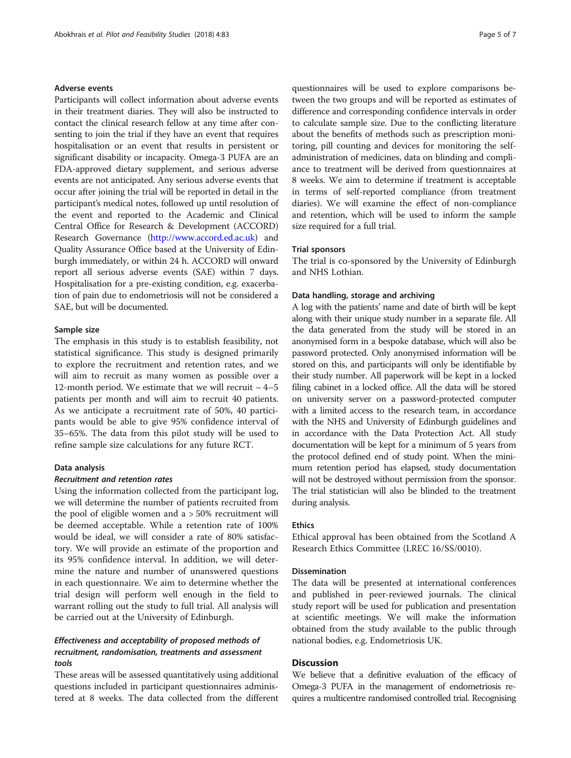### Adverse events

Participants will collect information about adverse events in their treatment diaries. They will also be instructed to contact the clinical research fellow at any time after consenting to join the trial if they have an event that requires hospitalisation or an event that results in persistent or significant disability or incapacity. Omega-3 PUFA are an FDA-approved dietary supplement, and serious adverse events are not anticipated. Any serious adverse events that occur after joining the trial will be reported in detail in the participant's medical notes, followed up until resolution of the event and reported to the Academic and Clinical Central Office for Research & Development (ACCORD) Research Governance [\(http://www.accord.ed.ac.uk\)](http://www.accord.ed.ac.uk) and Quality Assurance Office based at the University of Edinburgh immediately, or within 24 h. ACCORD will onward report all serious adverse events (SAE) within 7 days. Hospitalisation for a pre-existing condition, e.g. exacerbation of pain due to endometriosis will not be considered a SAE, but will be documented.

#### Sample size

The emphasis in this study is to establish feasibility, not statistical significance. This study is designed primarily to explore the recruitment and retention rates, and we will aim to recruit as many women as possible over a 12-month period. We estimate that we will recruit  $\sim$  4–5 patients per month and will aim to recruit 40 patients. As we anticipate a recruitment rate of 50%, 40 participants would be able to give 95% confidence interval of 35–65%. The data from this pilot study will be used to refine sample size calculations for any future RCT.

#### Data analysis

#### Recruitment and retention rates

Using the information collected from the participant log, we will determine the number of patients recruited from the pool of eligible women and a > 50% recruitment will be deemed acceptable. While a retention rate of 100% would be ideal, we will consider a rate of 80% satisfactory. We will provide an estimate of the proportion and its 95% confidence interval. In addition, we will determine the nature and number of unanswered questions in each questionnaire. We aim to determine whether the trial design will perform well enough in the field to warrant rolling out the study to full trial. All analysis will be carried out at the University of Edinburgh.

## Effectiveness and acceptability of proposed methods of recruitment, randomisation, treatments and assessment tools

These areas will be assessed quantitatively using additional questions included in participant questionnaires administered at 8 weeks. The data collected from the different

questionnaires will be used to explore comparisons between the two groups and will be reported as estimates of difference and corresponding confidence intervals in order to calculate sample size. Due to the conflicting literature about the benefits of methods such as prescription monitoring, pill counting and devices for monitoring the selfadministration of medicines, data on blinding and compliance to treatment will be derived from questionnaires at 8 weeks. We aim to determine if treatment is acceptable in terms of self-reported compliance (from treatment diaries). We will examine the effect of non-compliance and retention, which will be used to inform the sample size required for a full trial.

#### Trial sponsors

The trial is co-sponsored by the University of Edinburgh and NHS Lothian.

#### Data handling, storage and archiving

A log with the patients' name and date of birth will be kept along with their unique study number in a separate file. All the data generated from the study will be stored in an anonymised form in a bespoke database, which will also be password protected. Only anonymised information will be stored on this, and participants will only be identifiable by their study number. All paperwork will be kept in a locked filing cabinet in a locked office. All the data will be stored on university server on a password-protected computer with a limited access to the research team, in accordance with the NHS and University of Edinburgh guidelines and in accordance with the Data Protection Act. All study documentation will be kept for a minimum of 5 years from the protocol defined end of study point. When the minimum retention period has elapsed, study documentation will not be destroyed without permission from the sponsor. The trial statistician will also be blinded to the treatment during analysis.

#### **Ethics**

Ethical approval has been obtained from the Scotland A Research Ethics Committee (LREC 16/SS/0010).

## Dissemination

The data will be presented at international conferences and published in peer-reviewed journals. The clinical study report will be used for publication and presentation at scientific meetings. We will make the information obtained from the study available to the public through national bodies, e.g. Endometriosis UK.

## **Discussion**

We believe that a definitive evaluation of the efficacy of Omega-3 PUFA in the management of endometriosis requires a multicentre randomised controlled trial. Recognising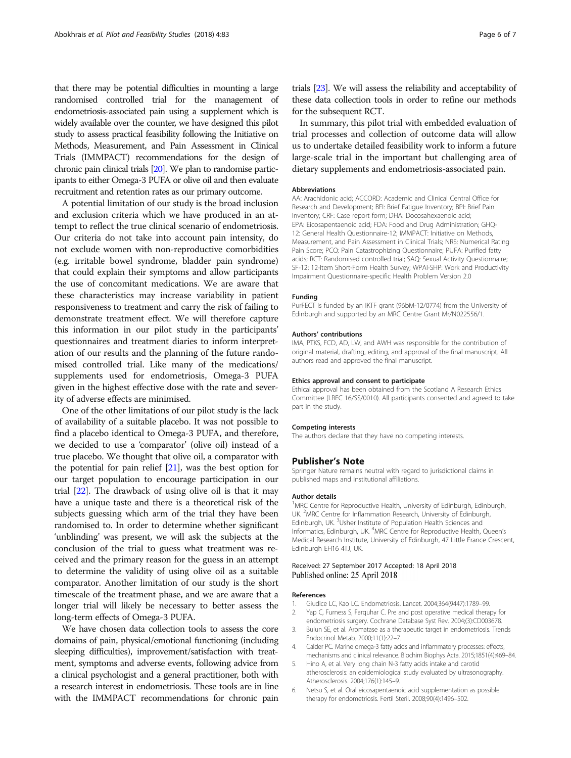<span id="page-5-0"></span>that there may be potential difficulties in mounting a large randomised controlled trial for the management of endometriosis-associated pain using a supplement which is widely available over the counter, we have designed this pilot study to assess practical feasibility following the Initiative on Methods, Measurement, and Pain Assessment in Clinical Trials (IMMPACT) recommendations for the design of chronic pain clinical trials [\[20](#page-6-0)]. We plan to randomise participants to either Omega-3 PUFA or olive oil and then evaluate recruitment and retention rates as our primary outcome.

A potential limitation of our study is the broad inclusion and exclusion criteria which we have produced in an attempt to reflect the true clinical scenario of endometriosis. Our criteria do not take into account pain intensity, do not exclude women with non-reproductive comorbidities (e.g. irritable bowel syndrome, bladder pain syndrome) that could explain their symptoms and allow participants the use of concomitant medications. We are aware that these characteristics may increase variability in patient responsiveness to treatment and carry the risk of failing to demonstrate treatment effect. We will therefore capture this information in our pilot study in the participants' questionnaires and treatment diaries to inform interpretation of our results and the planning of the future randomised controlled trial. Like many of the medications/ supplements used for endometriosis, Omega-3 PUFA given in the highest effective dose with the rate and severity of adverse effects are minimised.

One of the other limitations of our pilot study is the lack of availability of a suitable placebo. It was not possible to find a placebo identical to Omega-3 PUFA, and therefore, we decided to use a 'comparator' (olive oil) instead of a true placebo. We thought that olive oil, a comparator with the potential for pain relief  $[21]$ , was the best option for our target population to encourage participation in our trial [[22](#page-6-0)]. The drawback of using olive oil is that it may have a unique taste and there is a theoretical risk of the subjects guessing which arm of the trial they have been randomised to. In order to determine whether significant 'unblinding' was present, we will ask the subjects at the conclusion of the trial to guess what treatment was received and the primary reason for the guess in an attempt to determine the validity of using olive oil as a suitable comparator. Another limitation of our study is the short timescale of the treatment phase, and we are aware that a longer trial will likely be necessary to better assess the long-term effects of Omega-3 PUFA.

We have chosen data collection tools to assess the core domains of pain, physical/emotional functioning (including sleeping difficulties), improvement/satisfaction with treatment, symptoms and adverse events, following advice from a clinical psychologist and a general practitioner, both with a research interest in endometriosis. These tools are in line with the IMMPACT recommendations for chronic pain

trials [\[23](#page-6-0)]. We will assess the reliability and acceptability of these data collection tools in order to refine our methods for the subsequent RCT.

In summary, this pilot trial with embedded evaluation of trial processes and collection of outcome data will allow us to undertake detailed feasibility work to inform a future large-scale trial in the important but challenging area of dietary supplements and endometriosis-associated pain.

#### Abbreviations

AA: Arachidonic acid; ACCORD: Academic and Clinical Central Office for Research and Development; BFI: Brief Fatigue Inventory; BPI: Brief Pain Inventory; CRF: Case report form; DHA: Docosahexaenoic acid; EPA: Eicosapentaenoic acid; FDA: Food and Drug Administration; GHQ-12: General Health Questionnaire-12; IMMPACT: Initiative on Methods, Measurement, and Pain Assessment in Clinical Trials; NRS: Numerical Rating Pain Score; PCQ: Pain Catastrophizing Questionnaire; PUFA: Purified fatty acids; RCT: Randomised controlled trial; SAQ: Sexual Activity Questionnaire; SF-12: 12-Item Short-Form Health Survey; WPAI-SHP: Work and Productivity Impairment Questionnaire-specific Health Problem Version 2.0

#### Funding

PurFECT is funded by an IKTF grant (96bM-12/0774) from the University of Edinburgh and supported by an MRC Centre Grant Mr/N022556/1.

#### Authors' contributions

IMA, PTKS, FCD, AD, LW, and AWH was responsible for the contribution of original material, drafting, editing, and approval of the final manuscript. All authors read and approved the final manuscript.

#### Ethics approval and consent to participate

Ethical approval has been obtained from the Scotland A Research Ethics Committee (LREC 16/SS/0010). All participants consented and agreed to take part in the study.

#### Competing interests

The authors declare that they have no competing interests.

#### Publisher's Note

Springer Nature remains neutral with regard to jurisdictional claims in published maps and institutional affiliations.

#### Author details

<sup>1</sup>MRC Centre for Reproductive Health, University of Edinburgh, Edinburgh, UK. <sup>2</sup>MRC Centre for Inflammation Research, University of Edinburgh, Edinburgh, UK. <sup>3</sup>Usher Institute of Population Health Sciences and Informatics, Edinburgh, UK. <sup>4</sup>MRC Centre for Reproductive Health, Queen's Medical Research Institute, University of Edinburgh, 47 Little France Crescent, Edinburgh EH16 4TJ, UK.

#### Received: 27 September 2017 Accepted: 18 April 2018 Published online: 25 April 2018

#### References

- 1. Giudice LC, Kao LC. Endometriosis. Lancet. 2004;364(9447):1789–99.
- Yap C, Furness S, Farguhar C. Pre and post operative medical therapy for endometriosis surgery. Cochrane Database Syst Rev. 2004;(3):CD003678.
- 3. Bulun SE, et al. Aromatase as a therapeutic target in endometriosis. Trends Endocrinol Metab. 2000;11(1):22–7.
- 4. Calder PC. Marine omega-3 fatty acids and inflammatory processes: effects, mechanisms and clinical relevance. Biochim Biophys Acta. 2015;1851(4):469–84.
- 5. Hino A, et al. Very long chain N-3 fatty acids intake and carotid atherosclerosis: an epidemiological study evaluated by ultrasonography. Atherosclerosis. 2004;176(1):145–9.
- 6. Netsu S, et al. Oral eicosapentaenoic acid supplementation as possible therapy for endometriosis. Fertil Steril. 2008;90(4):1496–502.